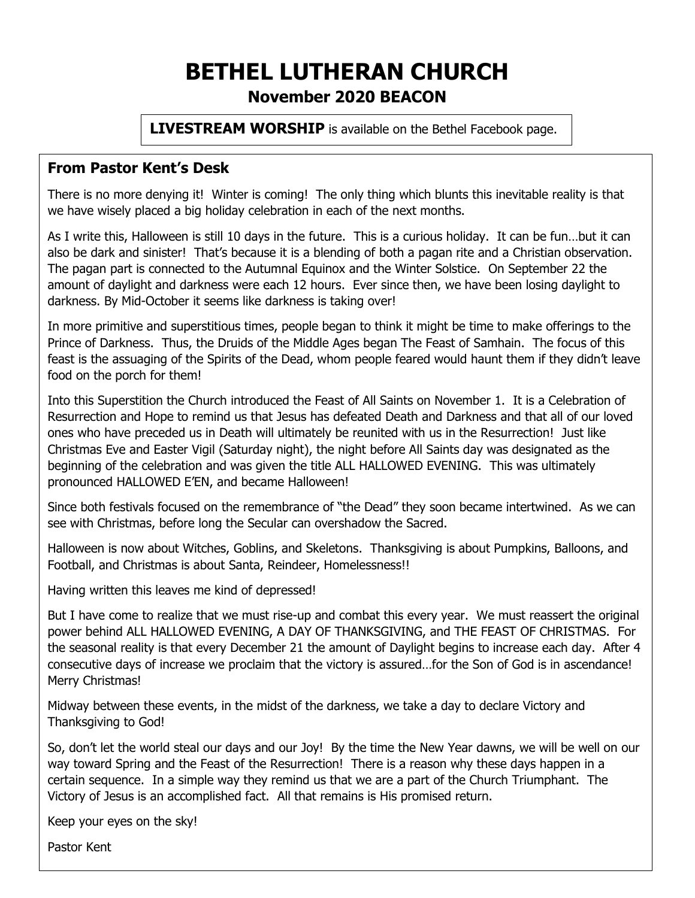# **BETHEL LUTHERAN CHURCH November 2020 BEACON**

**LIVESTREAM WORSHIP** is available on the Bethel Facebook page.

#### **From Pastor Kent's Desk**

There is no more denying it! Winter is coming! The only thing which blunts this inevitable reality is that we have wisely placed a big holiday celebration in each of the next months.

As I write this, Halloween is still 10 days in the future. This is a curious holiday. It can be fun…but it can also be dark and sinister! That's because it is a blending of both a pagan rite and a Christian observation. The pagan part is connected to the Autumnal Equinox and the Winter Solstice. On September 22 the amount of daylight and darkness were each 12 hours. Ever since then, we have been losing daylight to darkness. By Mid-October it seems like darkness is taking over!

In more primitive and superstitious times, people began to think it might be time to make offerings to the Prince of Darkness. Thus, the Druids of the Middle Ages began The Feast of Samhain. The focus of this feast is the assuaging of the Spirits of the Dead, whom people feared would haunt them if they didn't leave food on the porch for them!

Into this Superstition the Church introduced the Feast of All Saints on November 1. It is a Celebration of Resurrection and Hope to remind us that Jesus has defeated Death and Darkness and that all of our loved ones who have preceded us in Death will ultimately be reunited with us in the Resurrection! Just like Christmas Eve and Easter Vigil (Saturday night), the night before All Saints day was designated as the beginning of the celebration and was given the title ALL HALLOWED EVENING. This was ultimately pronounced HALLOWED E'EN, and became Halloween!

Since both festivals focused on the remembrance of "the Dead" they soon became intertwined. As we can see with Christmas, before long the Secular can overshadow the Sacred.

Halloween is now about Witches, Goblins, and Skeletons. Thanksgiving is about Pumpkins, Balloons, and Football, and Christmas is about Santa, Reindeer, Homelessness!!

Having written this leaves me kind of depressed!

But I have come to realize that we must rise-up and combat this every year. We must reassert the original power behind ALL HALLOWED EVENING, A DAY OF THANKSGIVING, and THE FEAST OF CHRISTMAS. For the seasonal reality is that every December 21 the amount of Daylight begins to increase each day. After 4 consecutive days of increase we proclaim that the victory is assured…for the Son of God is in ascendance! Merry Christmas!

Midway between these events, in the midst of the darkness, we take a day to declare Victory and Thanksgiving to God!

So, don't let the world steal our days and our Joy! By the time the New Year dawns, we will be well on our way toward Spring and the Feast of the Resurrection! There is a reason why these days happen in a certain sequence. In a simple way they remind us that we are a part of the Church Triumphant. The Victory of Jesus is an accomplished fact. All that remains is His promised return.

Keep your eyes on the sky!

Pastor Kent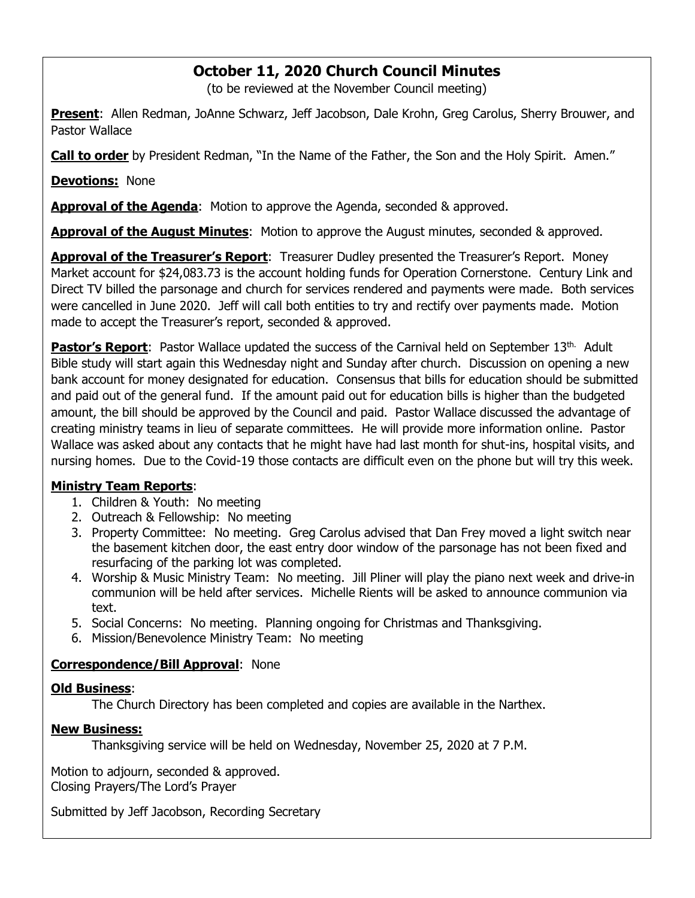### **October 11, 2020 Church Council Minutes**

(to be reviewed at the November Council meeting)

**Present**: Allen Redman, JoAnne Schwarz, Jeff Jacobson, Dale Krohn, Greg Carolus, Sherry Brouwer, and Pastor Wallace

**Call to order** by President Redman, "In the Name of the Father, the Son and the Holy Spirit. Amen."

**Devotions:** None

**Approval of the Agenda**: Motion to approve the Agenda, seconded & approved.

**Approval of the August Minutes**: Motion to approve the August minutes, seconded & approved.

**Approval of the Treasurer's Report**: Treasurer Dudley presented the Treasurer's Report. Money Market account for \$24,083.73 is the account holding funds for Operation Cornerstone. Century Link and Direct TV billed the parsonage and church for services rendered and payments were made. Both services were cancelled in June 2020. Jeff will call both entities to try and rectify over payments made. Motion made to accept the Treasurer's report, seconded & approved.

Pastor's Report: Pastor Wallace updated the success of the Carnival held on September 13<sup>th.</sup> Adult Bible study will start again this Wednesday night and Sunday after church. Discussion on opening a new bank account for money designated for education. Consensus that bills for education should be submitted and paid out of the general fund. If the amount paid out for education bills is higher than the budgeted amount, the bill should be approved by the Council and paid. Pastor Wallace discussed the advantage of creating ministry teams in lieu of separate committees. He will provide more information online. Pastor Wallace was asked about any contacts that he might have had last month for shut-ins, hospital visits, and nursing homes. Due to the Covid-19 those contacts are difficult even on the phone but will try this week.

#### **Ministry Team Reports**:

- 1. Children & Youth: No meeting
- 2. Outreach & Fellowship: No meeting
- 3. Property Committee: No meeting. Greg Carolus advised that Dan Frey moved a light switch near the basement kitchen door, the east entry door window of the parsonage has not been fixed and resurfacing of the parking lot was completed.
- 4. Worship & Music Ministry Team: No meeting. Jill Pliner will play the piano next week and drive-in communion will be held after services. Michelle Rients will be asked to announce communion via text.
- 5. Social Concerns: No meeting. Planning ongoing for Christmas and Thanksgiving.
- 6. Mission/Benevolence Ministry Team: No meeting

#### **Correspondence/Bill Approval**: None

#### **Old Business**:

The Church Directory has been completed and copies are available in the Narthex.

#### **New Business:**

Thanksgiving service will be held on Wednesday, November 25, 2020 at 7 P.M.

Motion to adjourn, seconded & approved. Closing Prayers/The Lord's Prayer

Submitted by Jeff Jacobson, Recording Secretary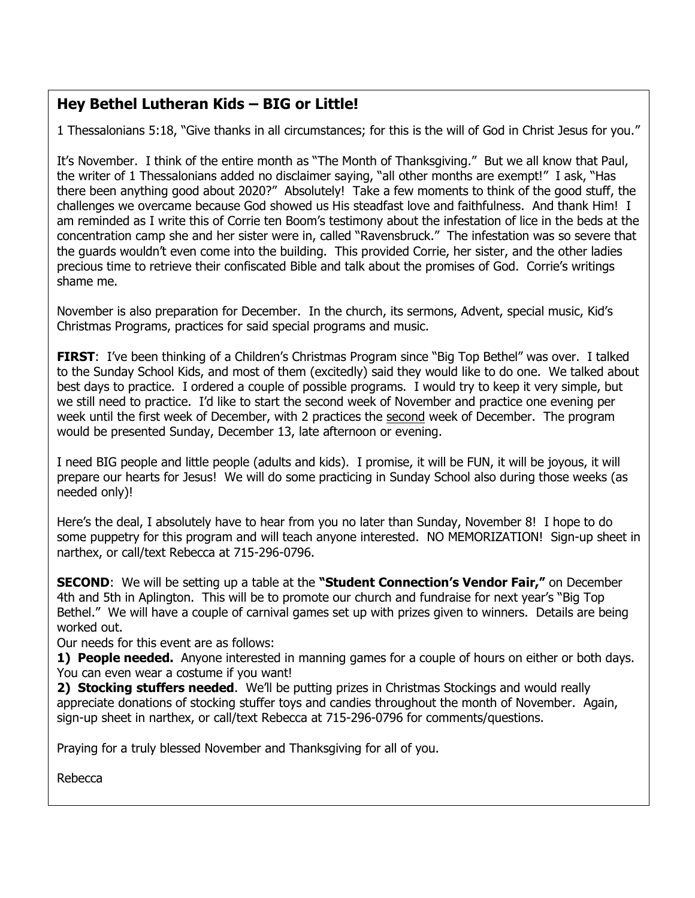### **Hey Bethel Lutheran Kids – BIG or Little!**

1 Thessalonians 5:18, "Give thanks in all circumstances; for this is the will of God in Christ Jesus for you."

It's November. I think of the entire month as "The Month of Thanksgiving." But we all know that Paul, the writer of 1 Thessalonians added no disclaimer saying, "all other months are exempt!" I ask, "Has there been anything good about 2020?" Absolutely! Take a few moments to think of the good stuff, the challenges we overcame because God showed us His steadfast love and faithfulness. And thank Him! I am reminded as I write this of Corrie ten Boom's testimony about the infestation of lice in the beds at the concentration camp she and her sister were in, called "Ravensbruck." The infestation was so severe that the guards wouldn't even come into the building. This provided Corrie, her sister, and the other ladies precious time to retrieve their confiscated Bible and talk about the promises of God. Corrie's writings shame me.

November is also preparation for December. In the church, its sermons, Advent, special music, Kid's Christmas Programs, practices for said special programs and music.

**FIRST**: I've been thinking of a Children's Christmas Program since "Big Top Bethel" was over. I talked to the Sunday School Kids, and most of them (excitedly) said they would like to do one. We talked about best days to practice. I ordered a couple of possible programs. I would try to keep it very simple, but we still need to practice. I'd like to start the second week of November and practice one evening per week until the first week of December, with 2 practices the second week of December. The program would be presented Sunday, December 13, late afternoon or evening.

I need BIG people and little people (adults and kids). I promise, it will be FUN, it will be joyous, it will prepare our hearts for Jesus! We will do some practicing in Sunday School also during those weeks (as needed only)!

Here's the deal, I absolutely have to hear from you no later than Sunday, November 8! I hope to do some puppetry for this program and will teach anyone interested. NO MEMORIZATION! Sign-up sheet in narthex, or call/text Rebecca at 715-296-0796.

**SECOND**: We will be setting up a table at the **"Student Connection's Vendor Fair,"** on December 4th and 5th in Aplington. This will be to promote our church and fundraise for next year's "Big Top Bethel." We will have a couple of carnival games set up with prizes given to winners. Details are being worked out.

Our needs for this event are as follows:

**1) People needed.** Anyone interested in manning games for a couple of hours on either or both days. You can even wear a costume if you want!

**2) Stocking stuffers needed**. We'll be putting prizes in Christmas Stockings and would really appreciate donations of stocking stuffer toys and candies throughout the month of November. Again, sign-up sheet in narthex, or call/text Rebecca at 715-296-0796 for comments/questions.

Praying for a truly blessed November and Thanksgiving for all of you.

Rebecca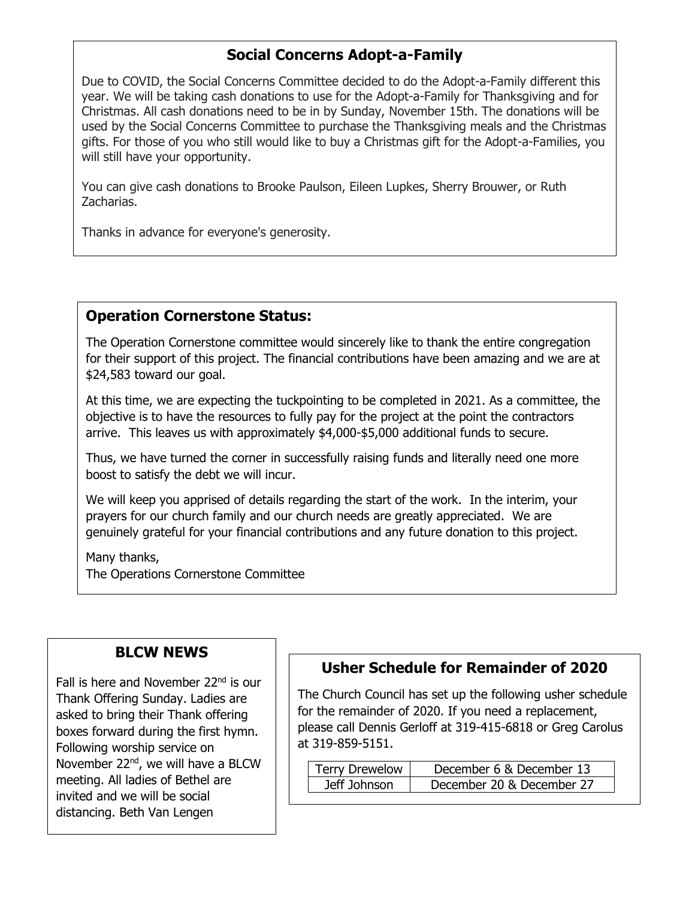### **Social Concerns Adopt-a-Family**

Due to COVID, the Social Concerns Committee decided to do the Adopt-a-Family different this year. We will be taking cash donations to use for the Adopt-a-Family for Thanksgiving and for Christmas. All cash donations need to be in by Sunday, November 15th. The donations will be used by the Social Concerns Committee to purchase the Thanksgiving meals and the Christmas gifts. For those of you who still would like to buy a Christmas gift for the Adopt-a-Families, you will still have your opportunity.

You can give cash donations to Brooke Paulson, Eileen Lupkes, Sherry Brouwer, or Ruth Zacharias.

Thanks in advance for everyone's generosity.

### **Operation Cornerstone Status:**

The Operation Cornerstone committee would sincerely like to thank the entire congregation for their support of this project. The financial contributions have been amazing and we are at \$24,583 toward our goal.

At this time, we are expecting the tuckpointing to be completed in 2021. As a committee, the objective is to have the resources to fully pay for the project at the point the contractors arrive. This leaves us with approximately \$4,000-\$5,000 additional funds to secure.

Thus, we have turned the corner in successfully raising funds and literally need one more boost to satisfy the debt we will incur.

We will keep you apprised of details regarding the start of the work. In the interim, your prayers for our church family and our church needs are greatly appreciated. We are genuinely grateful for your financial contributions and any future donation to this project.

Many thanks, The Operations Cornerstone Committee

#### **BLCW NEWS**

Fall is here and November 22<sup>nd</sup> is our Thank Offering Sunday. Ladies are asked to bring their Thank offering boxes forward during the first hymn. Following worship service on November 22<sup>nd</sup>, we will have a BLCW meeting. All ladies of Bethel are invited and we will be social distancing. Beth Van Lengen

### **Usher Schedule for Remainder of 2020**

The Church Council has set up the following usher schedule for the remainder of 2020. If you need a replacement, please call Dennis Gerloff at 319-415-6818 or Greg Carolus at 319-859-5151.

| <b>Terry Drewelow</b> | December 6 & December 13  |
|-----------------------|---------------------------|
| Jeff Johnson          | December 20 & December 27 |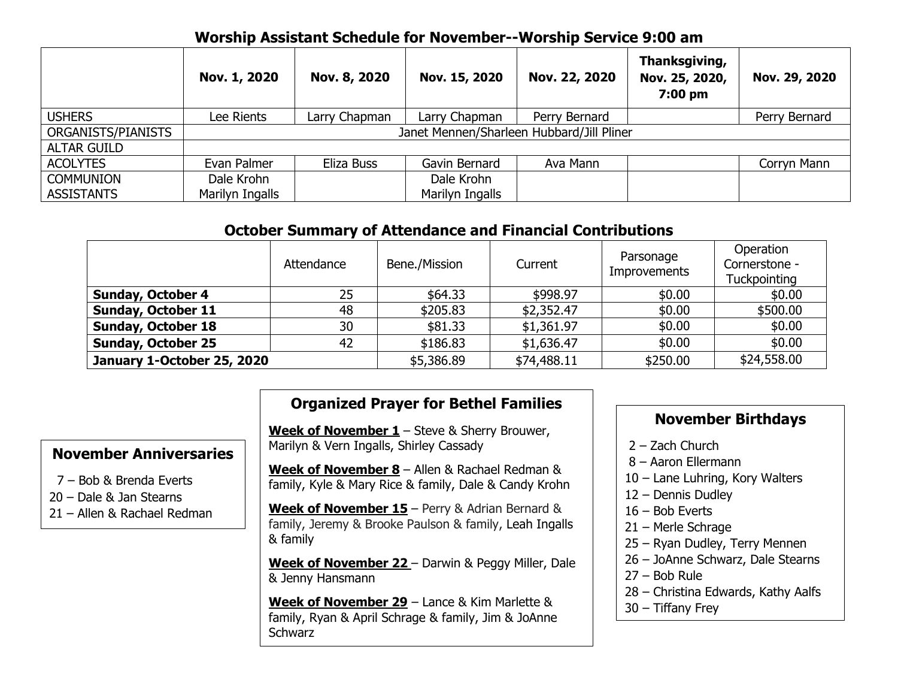### **Worship Assistant Schedule for November--Worship Service 9:00 am**

|                    | Nov. 1, 2020                              | Nov. 8, 2020  | Nov. 15, 2020   | Nov. 22, 2020 | Thanksgiving,<br>Nov. 25, 2020,<br>7:00 pm | Nov. 29, 2020 |
|--------------------|-------------------------------------------|---------------|-----------------|---------------|--------------------------------------------|---------------|
| <b>USHERS</b>      | Lee Rients                                | Larry Chapman | Larry Chapman   | Perry Bernard |                                            | Perry Bernard |
| ORGANISTS/PIANISTS | Janet Mennen/Sharleen Hubbard/Jill Pliner |               |                 |               |                                            |               |
| <b>ALTAR GUILD</b> |                                           |               |                 |               |                                            |               |
| <b>ACOLYTES</b>    | Evan Palmer                               | Eliza Buss    | Gavin Bernard   | Ava Mann      |                                            | Corryn Mann   |
| <b>COMMUNION</b>   | Dale Krohn                                |               | Dale Krohn      |               |                                            |               |
| <b>ASSISTANTS</b>  | Marilyn Ingalls                           |               | Marilyn Ingalls |               |                                            |               |

### **October Summary of Attendance and Financial Contributions**

|                            | Attendance | Bene./Mission | Current     | Parsonage<br><b>Improvements</b> | Operation<br>Cornerstone -<br><b>Tuckpointing</b> |
|----------------------------|------------|---------------|-------------|----------------------------------|---------------------------------------------------|
| <b>Sunday, October 4</b>   | 25         | \$64.33       | \$998.97    | \$0.00                           | \$0.00                                            |
| <b>Sunday, October 11</b>  | 48         | \$205.83      | \$2,352.47  | \$0.00                           | \$500.00                                          |
| <b>Sunday, October 18</b>  | 30         | \$81.33       | \$1,361.97  | \$0.00                           | \$0.00                                            |
| <b>Sunday, October 25</b>  | 42         | \$186.83      | \$1,636.47  | \$0.00                           | \$0.00                                            |
| January 1-October 25, 2020 |            | \$5,386.89    | \$74,488.11 | \$250.00                         | \$24,558.00                                       |

### **Organized Prayer for Bethel Families**

**Week of November 1** – Steve & Sherry Brouwer, Marilyn & Vern Ingalls, Shirley Cassady

**Week of November 8** – Allen & Rachael Redman & family, Kyle & Mary Rice & family, Dale & Candy Krohn

**Week of November 15** – Perry & Adrian Bernard & family, Jeremy & Brooke Paulson & family, Leah Ingalls & family

**Week of November 22** – Darwin & Peggy Miller, Dale & Jenny Hansmann

**Week of November 29** – Lance & Kim Marlette & family, Ryan & April Schrage & family, Jim & JoAnne **Schwarz** 

### **November Birthdays**

- 2 Zach Church
- 8 Aaron Ellermann
- 10 Lane Luhring, Kory Walters
- 12 Dennis Dudley
- 16 Bob Everts
- 21 Merle Schrage
- 25 Ryan Dudley, Terry Mennen
- 26 JoAnne Schwarz, Dale Stearns
- 27 Bob Rule
- 28 Christina Edwards, Kathy Aalfs
- 30 Tiffany Frey

## **November Anniversaries**

- 7 Bob & Brenda Everts
- 20 Dale & Jan Stearns
- 21 Allen & Rachael Redman